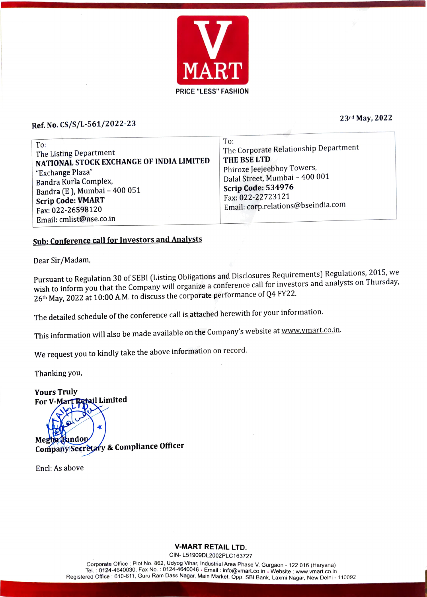

#### Ref. No. CS/S/L-561/2022-23

23rd May, 2022

| To:<br>The Listing Department<br>NATIONAL STOCK EXCHANGE OF INDIA LIMITED<br>"Exchange Plaza"<br>Bandra Kurla Complex,<br>Bandra (E), Mumbai - 400 051<br><b>Scrip Code: VMART</b><br>Fax: 022-26598120<br>Email: cmlist@nse.co.in | To:<br>The Corporate Relationship Department<br>THE BSE LTD<br>Phiroze Jeejeebhoy Towers,<br>Dalal Street, Mumbai - 400 001<br>Scrip Code: 534976<br>Fax: 022-22723121<br>Email: corp.relations@bseindia.com |
|------------------------------------------------------------------------------------------------------------------------------------------------------------------------------------------------------------------------------------|--------------------------------------------------------------------------------------------------------------------------------------------------------------------------------------------------------------|
|------------------------------------------------------------------------------------------------------------------------------------------------------------------------------------------------------------------------------------|--------------------------------------------------------------------------------------------------------------------------------------------------------------------------------------------------------------|

#### Sub: Conference call for Investors and Analysts

Dear Sir/Madam,

Pursuant to Regulation 30 of SEBI (Listing Obligations and Disclosures Requirements) Regulations, 2015, we wish to inform you that the Company will organize a conference call for investors and analysts on Thursday, 26th May, 2022 at 10:00 A.M. to discuss the corporate performance of Q4 FY22.

The detailed schedule of the conference call is attached herewith for your information.

This information will also be made available on the Company's website at www.vmart.co.in.

We request you to kindly take the above information on record.

Thanking you,

Yours Truly For V-Mart Retail Limited Megha handop Company Secrètafy & Compliance Officer

Encl: As above

V-MART RETAIL LTD.

CIN-L51909DL2002PLC163727<br>Corporate Office : Plot No. 862, Udyog Vihar, Industrial Area Phase V, Gurgaon - 122 016 (Haryana) Corporate Office: Plot No. 862, Udyog Vihar, Industrial Area Phase V, Gurgaon 122 016 (Haryana) Tel. 0124-4640030, Fax No. : 0124-4640046 Emall info@vmart.co.in Website : www.vmart.co.in Registered Office: 610-611, Guru Ram Dass Nagar, Main Market, Opp. SBI Bank, Laxmi Nagar, New Delhi - 110092